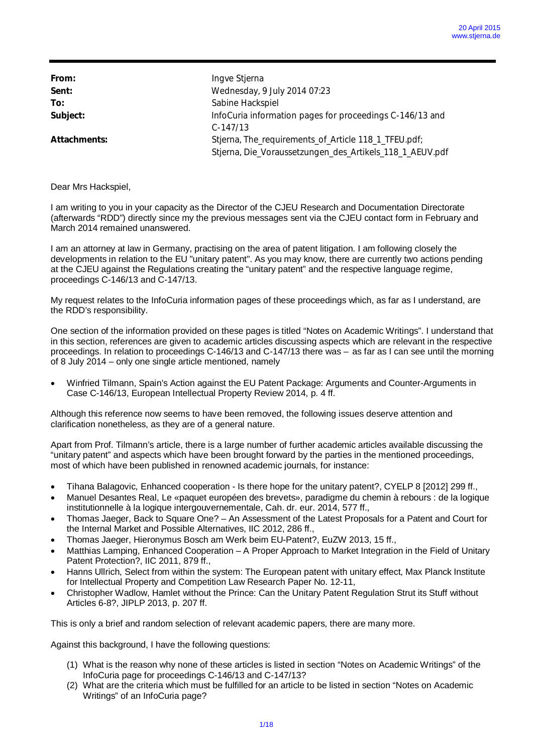From: **Ingve Stjerna Sent:** Wednesday, 9 July 2014 07:23 **To:** Sabine Hackspiel **Subject:** InfoCuria information pages for proceedings C-146/13 and C-147/13 Attachments: Stjerna, The\_requirements\_of\_Article 118\_1\_TFEU.pdf; Stjerna, Die\_Voraussetzungen\_des\_Artikels\_118\_1\_AEUV.pdf

Dear Mrs Hackspiel,

I am writing to you in your capacity as the Director of the CJEU Research and Documentation Directorate (afterwards "RDD") directly since my the previous messages sent via the CJEU contact form in February and March 2014 remained unanswered.

I am an attorney at law in Germany, practising on the area of patent litigation. I am following closely the developments in relation to the EU "unitary patent". As you may know, there are currently two actions pending at the CJEU against the Regulations creating the "unitary patent" and the respective language regime, proceedings C-146/13 and C-147/13.

My request relates to the InfoCuria information pages of these proceedings which, as far as I understand, are the RDD's responsibility.

One section of the information provided on these pages is titled "Notes on Academic Writings". I understand that in this section, references are given to academic articles discussing aspects which are relevant in the respective proceedings. In relation to proceedings C-146/13 and C-147/13 there was – as far as I can see until the morning of 8 July 2014 – only one single article mentioned, namely

· Winfried Tilmann, Spain's Action against the EU Patent Package: Arguments and Counter-Arguments in Case C-146/13, European Intellectual Property Review 2014, p. 4 ff.

Although this reference now seems to have been removed, the following issues deserve attention and clarification nonetheless, as they are of a general nature.

Apart from Prof. Tilmann's article, there is a large number of further academic articles available discussing the "unitary patent" and aspects which have been brought forward by the parties in the mentioned proceedings, most of which have been published in renowned academic journals, for instance:

- · Tihana Balagovic, Enhanced cooperation Is there hope for the unitary patent?, CYELP 8 [2012] 299 ff.,
- · Manuel Desantes Real, Le «paquet européen des brevets», paradigme du chemin à rebours : de la logique institutionnelle à la logique intergouvernementale, Cah. dr. eur. 2014, 577 ff.,
- · Thomas Jaeger, Back to Square One? An Assessment of the Latest Proposals for a Patent and Court for the Internal Market and Possible Alternatives, IIC 2012, 286 ff.,
- · Thomas Jaeger, Hieronymus Bosch am Werk beim EU-Patent?, EuZW 2013, 15 ff.,
- Matthias Lamping, Enhanced Cooperation A Proper Approach to Market Integration in the Field of Unitary Patent Protection?, IIC 2011, 879 ff.,
- Hanns Ullrich, Select from within the system: The European patent with unitary effect, Max Planck Institute for Intellectual Property and Competition Law Research Paper No. 12-11,
- · Christopher Wadlow, Hamlet without the Prince: Can the Unitary Patent Regulation Strut its Stuff without Articles 6-8?, JIPLP 2013, p. 207 ff.

This is only a brief and random selection of relevant academic papers, there are many more.

Against this background, I have the following questions:

- (1) What is the reason why none of these articles is listed in section "Notes on Academic Writings" of the InfoCuria page for proceedings C-146/13 and C-147/13?
- (2) What are the criteria which must be fulfilled for an article to be listed in section "Notes on Academic Writings" of an InfoCuria page?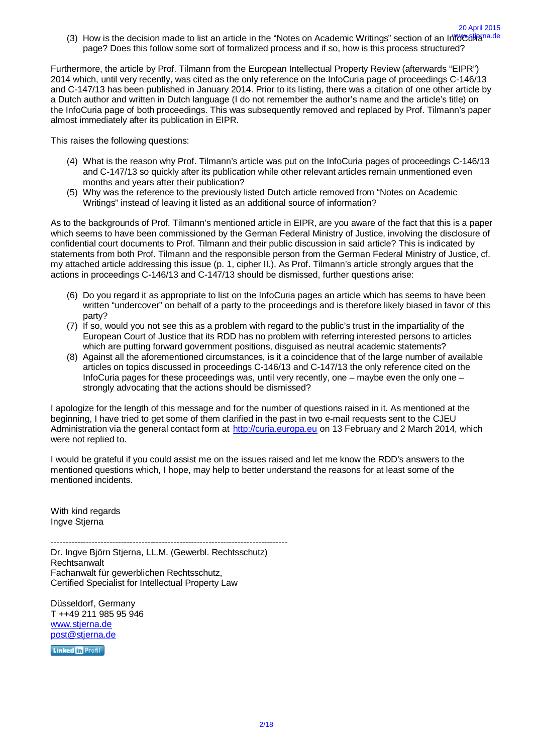(3) How is the decision made to list an article in the "Notes on Academic Writings" section of an Info Cuitana.de page? Does this follow some sort of formalized process and if so, how is this process structured?

20 April 2015

Furthermore, the article by Prof. Tilmann from the European Intellectual Property Review (afterwards "EIPR") 2014 which, until very recently, was cited as the only reference on the InfoCuria page of proceedings C-146/13 and C-147/13 has been published in January 2014. Prior to its listing, there was a citation of one other article by a Dutch author and written in Dutch language (I do not remember the author's name and the article's title) on the InfoCuria page of both proceedings. This was subsequently removed and replaced by Prof. Tilmann's paper almost immediately after its publication in EIPR.

This raises the following questions:

- (4) What is the reason why Prof. Tilmann's article was put on the InfoCuria pages of proceedings C-146/13 and C-147/13 so quickly after its publication while other relevant articles remain unmentioned even months and years after their publication?
- (5) Why was the reference to the previously listed Dutch article removed from "Notes on Academic Writings" instead of leaving it listed as an additional source of information?

As to the backgrounds of Prof. Tilmann's mentioned article in EIPR, are you aware of the fact that this is a paper which seems to have been commissioned by the German Federal Ministry of Justice, involving the disclosure of confidential court documents to Prof. Tilmann and their public discussion in said article? This is indicated by statements from both Prof. Tilmann and the responsible person from the German Federal Ministry of Justice, cf. my attached article addressing this issue (p. 1, cipher II.). As Prof. Tilmann's article strongly argues that the actions in proceedings C-146/13 and C-147/13 should be dismissed, further questions arise:

- (6) Do you regard it as appropriate to list on the InfoCuria pages an article which has seems to have been written "undercover" on behalf of a party to the proceedings and is therefore likely biased in favor of this party?
- (7) If so, would you not see this as a problem with regard to the public's trust in the impartiality of the European Court of Justice that its RDD has no problem with referring interested persons to articles which are putting forward government positions, disguised as neutral academic statements?
- (8) Against all the aforementioned circumstances, is it a coincidence that of the large number of available articles on topics discussed in proceedings C-146/13 and C-147/13 the only reference cited on the InfoCuria pages for these proceedings was, until very recently, one – maybe even the only one – strongly advocating that the actions should be dismissed?

I apologize for the length of this message and for the number of questions raised in it. As mentioned at the beginning, I have tried to get some of them clarified in the past in two e-mail requests sent to the CJEU Administration via the general contact form at http://curia.europa.eu on 13 February and 2 March 2014, which were not replied to.

I would be grateful if you could assist me on the issues raised and let me know the RDD's answers to the mentioned questions which, I hope, may help to better understand the reasons for at least some of the mentioned incidents.

With kind regards Ingve Stjerna

--------------------------------------------------------------------------------- Dr. Ingve Björn Stjerna, LL.M. (Gewerbl. Rechtsschutz) Rechtsanwalt Fachanwalt für gewerblichen Rechtsschutz, Certified Specialist for Intellectual Property Law

Düsseldorf, Germany T ++49 211 985 95 946 www.stjerna.de post@stjerna.de

Linked in Profil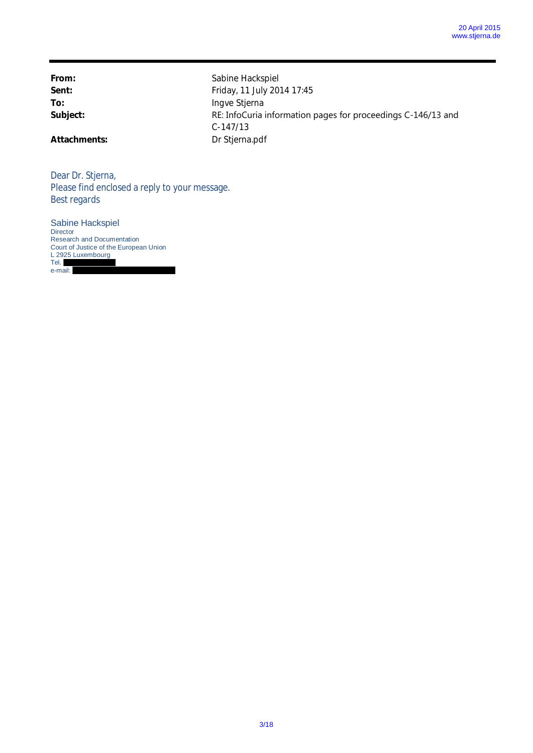**From:** Sabine Hackspiel Sent: **Friday, 11 July 2014 17:45** To: Ingve Stjerna Subject: Subject: RE: InfoCuria information pages for proceedings C-146/13 and C-147/13 **Attachments:** Dr Stjerna.pdf

Dear Dr. Stjerna, Please find enclosed a reply to your message. Best regards

Sabine Hackspiel **Director** Research and Documentation Court of Justice of the European Union L 2925 Luxembourg Tel. e-mail: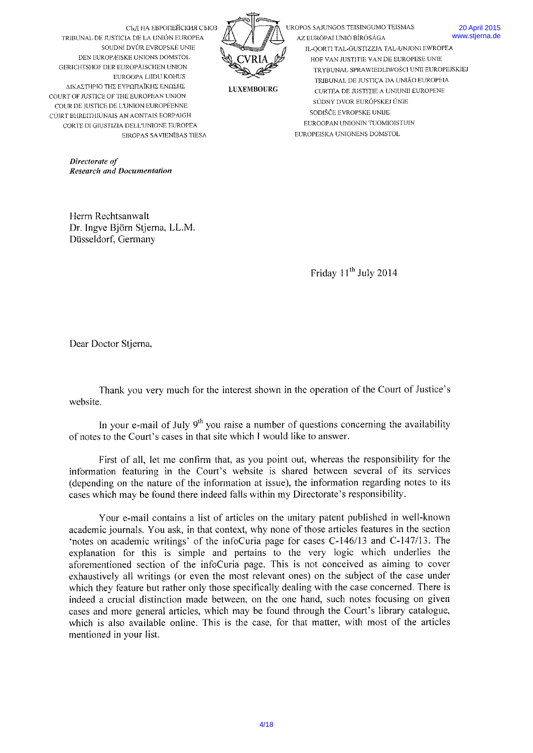

UROPOS SAJUNGOS TEISINGUMO TEISMAS AZ EURÓPAI UNIÓ BÍRÓSÁGA **IL-OORTI TAL-GUSTIZZJA TAL-UNJONI EWROPEA** HOF VAN JUSTITIE VAN DE EUROPESE UNIE TRYBUNAŁ SPRAWIEDLIWOŚCI UNII EUROPEJSKIEJ TRIBUNAL DE JUSTIÇA DA UNIÃO EUROPEIA

SÚDNY DVOR EURÓPSKEJ ÚNIE

EUROOPAN UNIONIN TUOMIOISTUIN

SODIŠČE EVROPSKE UNIJE

EUROPEISKA UNIONENS DOMSTOL

CURTEA DE JUSTITIE A UNIUNII EUROPENE

**20 April 2015** www.stierna.de

**LUXEMBOURG** 

SOUDNÍ DVŮR EVROPSKÉ UNIE DEN EUROPÆISKE UNIONS DOMSTOL GERICHTSHOF DER EUROPÄISCHEN UNION EUROOPA LIIDU KOHUS ΔΙΚΑΣΤΗΡΙΟ ΤΗΣ ΕΥΡΩΠΑΪΚΗΣ ΕΝΩΣΗΣ COURT OF JUSTICE OF THE EUROPEAN UNION COUR DE JUSTICE DE L'UNION EUROPÉENNE CÚIRT BHREITHIÚNAIS AN AONTAIS EORPAIGH CORTE DI GIUSTIZIA DELL'ENIONE ELIROPEA **EIROPAS SAVIENÍBAS TIESA** 

TRIBUNAL DE JUSTICIA DE LA UNIÓN EUROPEA

Directorate of **Research and Documentation** 

Herrn Rechtsanwalt Dr. Ingve Björn Stjerna, LL.M. Düsseldorf, Germany

Friday 11<sup>th</sup> July 2014

Dear Doctor Stjerna,

Thank you very much for the interest shown in the operation of the Court of Justice's website.

In your e-mail of July  $9<sup>th</sup>$  you raise a number of questions concerning the availability of notes to the Court's cases in that site which I would like to answer.

First of all, let me confirm that, as you point out, whereas the responsibility for the information featuring in the Court's website is shared between several of its services (depending on the nature of the information at issue), the information regarding notes to its cases which may be found there indeed falls within my Directorate's responsibility.

Your e-mail contains a list of articles on the unitary patent published in well-known academic journals. You ask, in that context, why none of those articles features in the section 'notes on academic writings' of the infoCuria page for cases C-146/13 and C-147/13. The explanation for this is simple and pertains to the very logic which underlies the aforementioned section of the infoCuria page. This is not conceived as aiming to cover exhaustively all writings (or even the most relevant ones) on the subject of the case under which they feature but rather only those specifically dealing with the case concerned. There is indeed a crucial distinction made between, on the one hand, such notes focusing on given cases and more general articles, which may be found through the Court's library catalogue, which is also available online. This is the case, for that matter, with most of the articles mentioned in your list.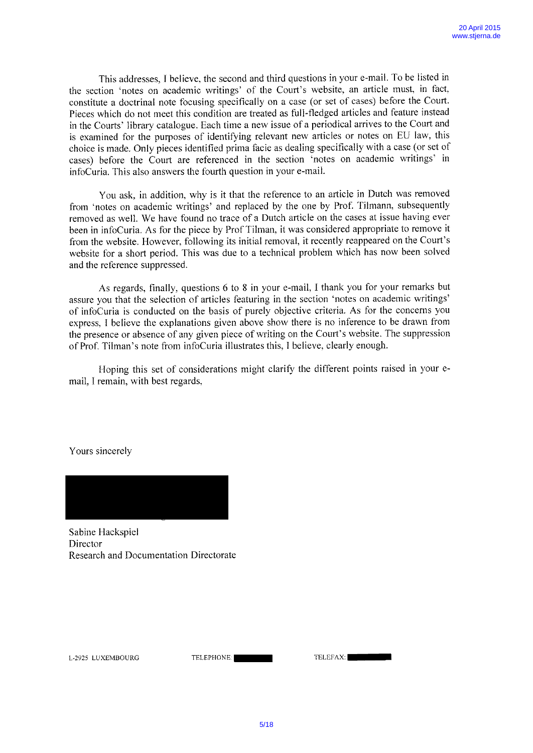This addresses, <sup>I</sup> believe, the second and third questions in your e-mail. To be listed in the section 'notes on academic writings' of the Court's website, an article must, in tact, constitute <sup>a</sup> doctrinal note focusing specifically on <sup>a</sup> case (or set of cases) before the Court. Pieces which do not meet this condition are treated as full-fledged articles and feature instead in the Courts' library catalogue. Each time <sup>a</sup> new issue of <sup>a</sup> periodical arrives to the Court and is examined for the purposes of identifying relevant new articles or notes on EU law, this choice is made. Only <sup>p</sup>ieces identified prima facie as dealing specifically with <sup>a</sup> case (or set of cases) before the Court are referenced in the section 'notes on academic writings' in infoCuria. This also answers the fourth question in your e-mail.

You ask, in addition, why is it that the reference to an article in Dutch was removed from 'notes on academic writings' and replaced by the one by Prof. Tilmann, subsequently removed as well. We have found no trace of <sup>a</sup> Dutch article on the cases at issue having ever been in infoCuria. As for the <sup>p</sup>iece by Prof Tilman, it was considered appropriate to remove it from the website, However, following its initial removal, it recently reappeared on the Court's website for <sup>a</sup> short period. This was due to <sup>a</sup> technical problem which has now been solved and the reference suppressed.

As regards, finally, questions <sup>6</sup> to <sup>8</sup> in your e-mail, <sup>I</sup> thank you for your remarks but assure you that the selection of articles featuring in the section 'notes on academic writings' of infoCuria is conducted on the basis of purely objective criteria. As for the concerns you express, <sup>I</sup> believe the explanations <sup>g</sup>iven above show there is no inference to be drawn from the presence or absence of any given piece of writing on the Court's website. The suppression of Prof. Tilman's note from infoCuria illustrates this, I believe, clearly enough.

Hoping this set of considerations might clarify the different points raised in your <sup>e</sup> mail. I remain, with best regards.

Yours sincerely



Sabine Hackspiel Director Research and Documentation Directorate

| <b>TELEFAX:</b> |  |
|-----------------|--|
|                 |  |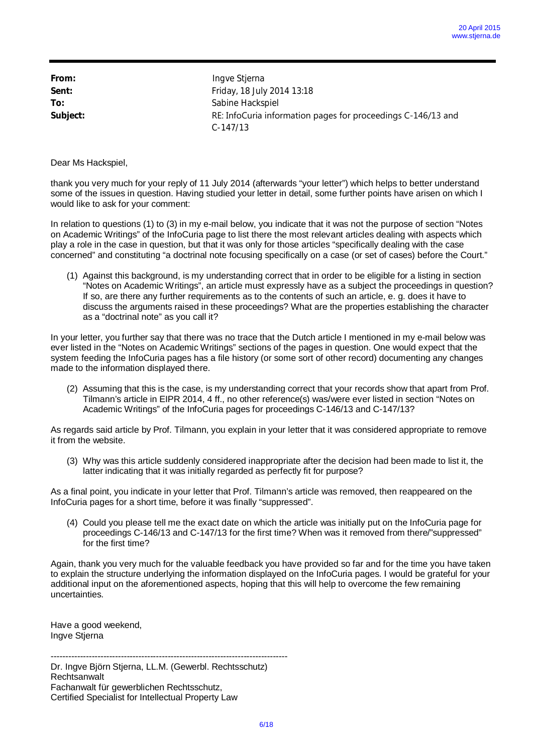| From:    | Ingve Stjerna                                                |
|----------|--------------------------------------------------------------|
| Sent:    | Friday, 18 July 2014 13:18                                   |
| To:      | Sabine Hackspiel                                             |
| Subject: | RE: InfoCuria information pages for proceedings C-146/13 and |
|          | $C-147/13$                                                   |

thank you very much for your reply of 11 July 2014 (afterwards "your letter") which helps to better understand some of the issues in question. Having studied your letter in detail, some further points have arisen on which I would like to ask for your comment:

In relation to questions (1) to (3) in my e-mail below, you indicate that it was not the purpose of section "Notes on Academic Writings" of the InfoCuria page to list there the most relevant articles dealing with aspects which play a role in the case in question, but that it was only for those articles "specifically dealing with the case concerned" and constituting "a doctrinal note focusing specifically on a case (or set of cases) before the Court."

(1) Against this background, is my understanding correct that in order to be eligible for a listing in section "Notes on Academic Writings", an article must expressly have as a subject the proceedings in question? If so, are there any further requirements as to the contents of such an article, e. g. does it have to discuss the arguments raised in these proceedings? What are the properties establishing the character as a "doctrinal note" as you call it?

In your letter, you further say that there was no trace that the Dutch article I mentioned in my e-mail below was ever listed in the "Notes on Academic Writings" sections of the pages in question. One would expect that the system feeding the InfoCuria pages has a file history (or some sort of other record) documenting any changes made to the information displayed there.

(2) Assuming that this is the case, is my understanding correct that your records show that apart from Prof. Tilmann's article in EIPR 2014, 4 ff., no other reference(s) was/were ever listed in section "Notes on Academic Writings" of the InfoCuria pages for proceedings C-146/13 and C-147/13?

As regards said article by Prof. Tilmann, you explain in your letter that it was considered appropriate to remove it from the website.

(3) Why was this article suddenly considered inappropriate after the decision had been made to list it, the latter indicating that it was initially regarded as perfectly fit for purpose?

As a final point, you indicate in your letter that Prof. Tilmann's article was removed, then reappeared on the InfoCuria pages for a short time, before it was finally "suppressed".

(4) Could you please tell me the exact date on which the article was initially put on the InfoCuria page for proceedings C-146/13 and C-147/13 for the first time? When was it removed from there/"suppressed" for the first time?

Again, thank you very much for the valuable feedback you have provided so far and for the time you have taken to explain the structure underlying the information displayed on the InfoCuria pages. I would be grateful for your additional input on the aforementioned aspects, hoping that this will help to overcome the few remaining uncertainties.

Have a good weekend, Ingve Stjerna

--------------------------------------------------------------------------------- Dr. Ingve Björn Stjerna, LL.M. (Gewerbl. Rechtsschutz) **Rechtsanwalt** Fachanwalt für gewerblichen Rechtsschutz, Certified Specialist for Intellectual Property Law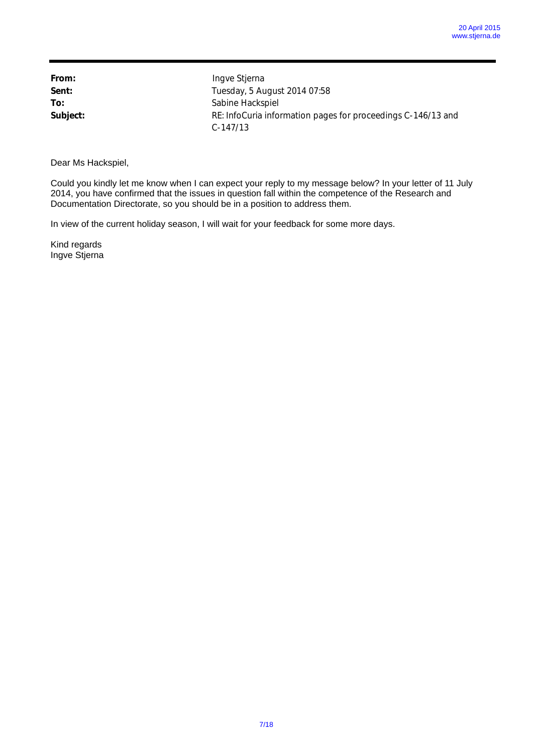| From:    |  |
|----------|--|
| Sent:    |  |
| To:      |  |
| Subject: |  |

**From:** Ingve Stjerna **Sent:** Tuesday, 5 August 2014 07:58 **To:** Sabine Hackspiel **Subject:** RE: InfoCuria information pages for proceedings C-146/13 and C-147/13

## Dear Ms Hackspiel,

Could you kindly let me know when I can expect your reply to my message below? In your letter of 11 July 2014, you have confirmed that the issues in question fall within the competence of the Research and Documentation Directorate, so you should be in a position to address them.

In view of the current holiday season, I will wait for your feedback for some more days.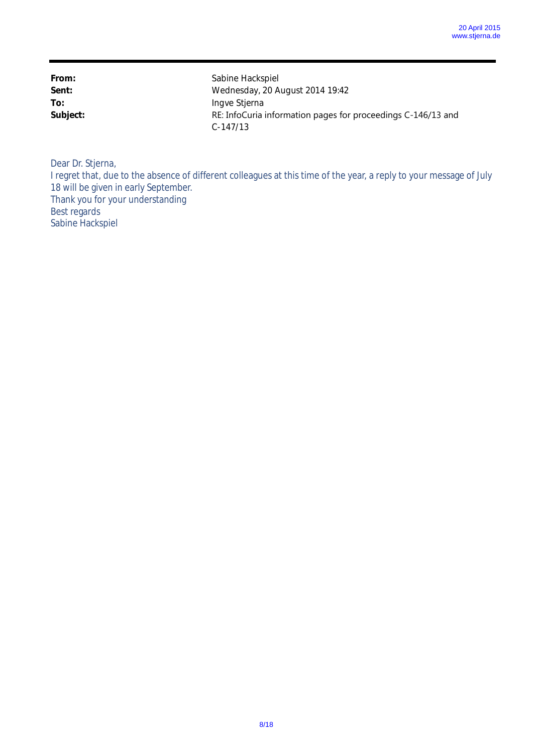| From:    | Sabine Hackspiel                                             |
|----------|--------------------------------------------------------------|
| Sent:    | Wednesday, 20 August 2014 19:42                              |
| To:      | Ingve Stjerna                                                |
| Subject: | RE: InfoCuria information pages for proceedings C-146/13 and |
|          | $C-147/13$                                                   |

Dear Dr. Stjerna,

I regret that, due to the absence of different colleagues at this time of the year, a reply to your message of July 18 will be given in early September. Thank you for your understanding Best regards

Sabine Hackspiel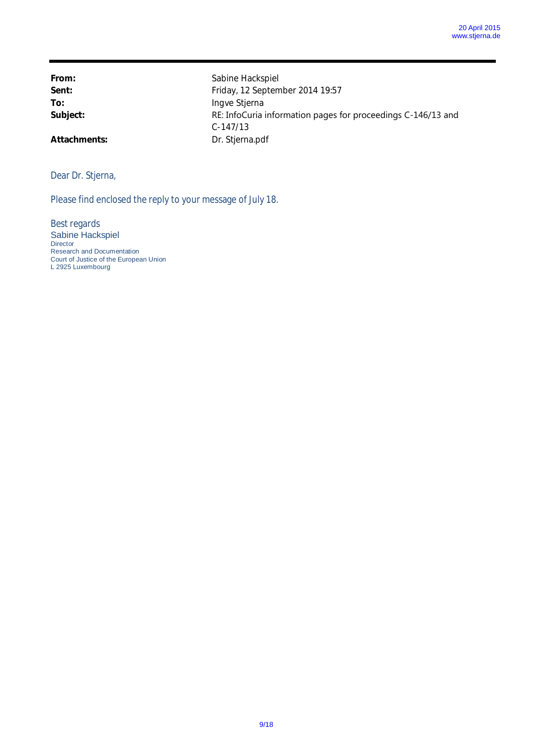**From:** Sabine Hackspiel Sent: Sent: **Friday, 12 September 2014 19:57** To: **Ingve Stjerna** Subject: Subject: RE: InfoCuria information pages for proceedings C-146/13 and C-147/13 Attachments: Dr. Stjerna.pdf

## Dear Dr. Stjerna,

Please find enclosed the reply to your message of July 18.

Best regards Sabine Hackspiel Director Research and Documentation Court of Justice of the European Union L 2925 Luxembourg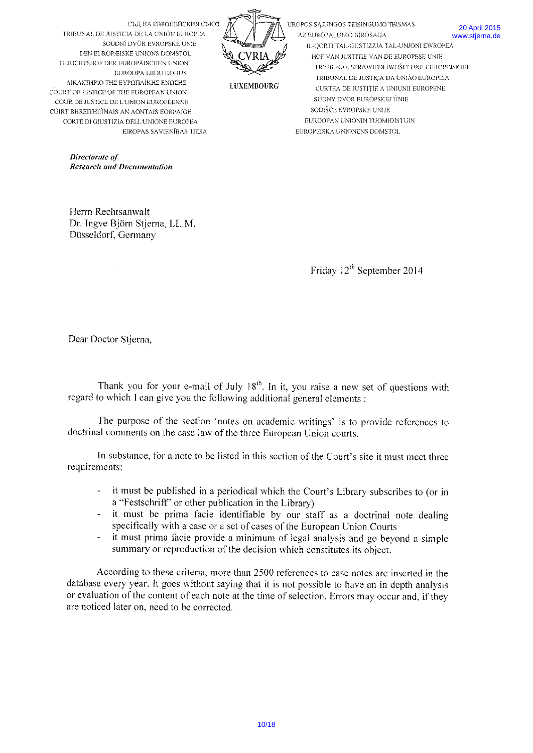

UROPOS SAJUNGOS TEISINGUMO TEISMAS AZ EURÓPAI UNIÓ BÍRÓSÁGA IL-QORTI TAL-GUSTIZZJA TAL-UNJONI EWROPEA HOF VAN JUSTITIE VAN DE EUROPESE UNIE TRYBUNAŁ SPRAWIEDLIWOŚCI UNII EUROPEJSKIEJ TRIBUNAL DE JUSTIÇA DA UNIÃO EUROPEIA CURTEA DE JUSTITIE A UNIUNII EUROPENE

**20 April 2015** 

www.stierna.de

**LUXEMBOERG** 

SÚDNY DVOR EURÓPSKEJ ÚNIE

SODIŠČE EVROPSKE UNIJE EUROOPAN UNIONIN TUOMIOISTUIN

EUROPEISKA UNIONENS DOMSTOL

СЪД НА ЕВРОПЕЙСКИЯ СЪЮЗ TRIBUNAL DE JUSTICIA DE LA UNIÓN EUROPEA SOUDNÍ DVŮR EVROPSKÉ UNIE DEN EUROPÆISKE UNIONS DOMSTOL GERICHTSHOF DER EUROPÄISCHEN UNION EUROOPA LIIDU KOHUS ΔΙΚΑΣΤΗΡΙΟ ΤΗΣ ΕΥΡΩΠΑΪΚΗΣ ΕΝΩΣΗΣ COURT OF JUSTICE OF THE EUROPEAN UNION COUR DE JUSTICE DE L'UNION EUROPÉENNE CÚIRT BHREITHIÚNAIS AN AONTAIS EORPAIGH CORTE DI GIUSTIZIA DELL'UNIONE EUROPEA EIROPAS SAVIENĪBAS TIESA

> Directorate of **Research and Documentation**

Herrn Rechtsanwalt Dr. Ingve Biörn Stierna, LL.M. Düsseldorf, Germany

Friday 12<sup>th</sup> September 2014

Dear Doctor Stierna,

Thank you for your e-mail of July 18<sup>th</sup>. In it, you raise a new set of questions with regard to which I can give you the following additional general elements :

The purpose of the section 'notes on academic writings' is to provide references to doctrinal comments on the case law of the three European Union courts.

In substance, for a note to be listed in this section of the Court's site it must meet three requirements:

- it must be published in a periodical which the Court's Library subscribes to (or in a "Festschrift" or other publication in the Library)
- it must be prima facie identifiable by our staff as a doctrinal note dealing specifically with a case or a set of cases of the European Union Courts
- it must prima facie provide a minimum of legal analysis and go beyond a simple summary or reproduction of the decision which constitutes its object.

According to these criteria, more than 2500 references to case notes are inserted in the database every year. It goes without saying that it is not possible to have an in depth analysis or evaluation of the content of each note at the time of selection. Errors may occur and, if they are noticed later on, need to be corrected.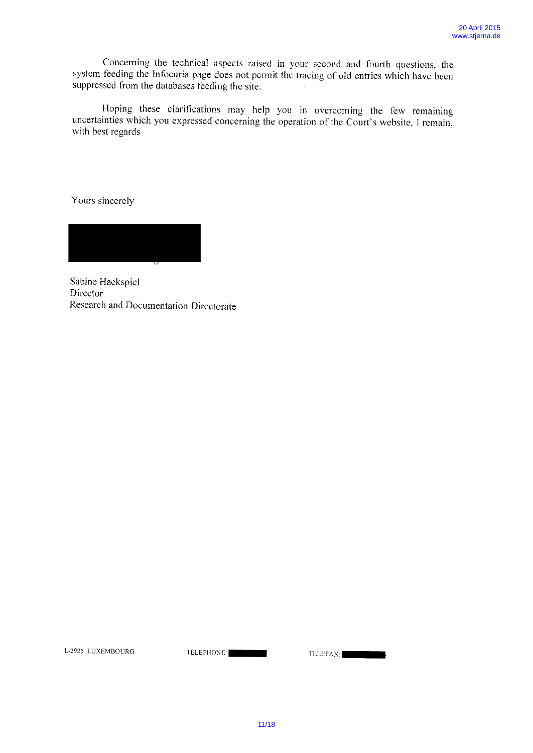Concerning the technical aspects raised in your second and fourth questions, the system feeding the Infocuria page does not permit the tracing of old entries which have been suppressed from the databases feeding the site.

Hoping these clarifications may help you in overcoming the few remaining uncertainties which you expressed concerning the operation of the Court's website, I remain, with best regards

Yours sincerely

Sabine Hackspiel Director Research and Documentation Directorate

L-2925 LUXEMBOURG TELEPHONE: TELEFAX: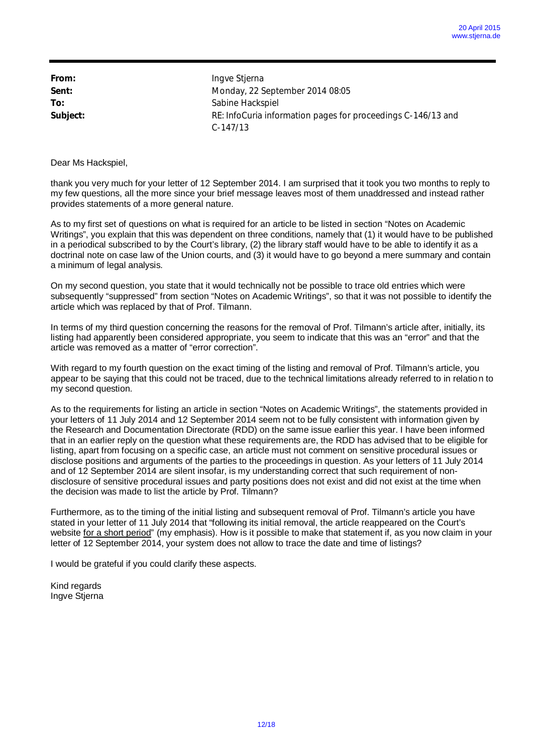| From:    | Ingve Stjerna                                                |
|----------|--------------------------------------------------------------|
| Sent:    | Monday, 22 September 2014 08:05                              |
| To:      | Sabine Hackspiel                                             |
| Subject: | RE: InfoCuria information pages for proceedings C-146/13 and |
|          | $C-147/13$                                                   |

thank you very much for your letter of 12 September 2014. I am surprised that it took you two months to reply to my few questions, all the more since your brief message leaves most of them unaddressed and instead rather provides statements of a more general nature.

As to my first set of questions on what is required for an article to be listed in section "Notes on Academic Writings", you explain that this was dependent on three conditions, namely that (1) it would have to be published in a periodical subscribed to by the Court's library, (2) the library staff would have to be able to identify it as a doctrinal note on case law of the Union courts, and (3) it would have to go beyond a mere summary and contain a minimum of legal analysis.

On my second question, you state that it would technically not be possible to trace old entries which were subsequently "suppressed" from section "Notes on Academic Writings", so that it was not possible to identify the article which was replaced by that of Prof. Tilmann.

In terms of my third question concerning the reasons for the removal of Prof. Tilmann's article after, initially, its listing had apparently been considered appropriate, you seem to indicate that this was an "error" and that the article was removed as a matter of "error correction".

With regard to my fourth question on the exact timing of the listing and removal of Prof. Tilmann's article, you appear to be saying that this could not be traced, due to the technical limitations already referred to in relation to my second question.

As to the requirements for listing an article in section "Notes on Academic Writings", the statements provided in your letters of 11 July 2014 and 12 September 2014 seem not to be fully consistent with information given by the Research and Documentation Directorate (RDD) on the same issue earlier this year. I have been informed that in an earlier reply on the question what these requirements are, the RDD has advised that to be eligible for listing, apart from focusing on a specific case, an article must not comment on sensitive procedural issues or disclose positions and arguments of the parties to the proceedings in question. As your letters of 11 July 2014 and of 12 September 2014 are silent insofar, is my understanding correct that such requirement of nondisclosure of sensitive procedural issues and party positions does not exist and did not exist at the time when the decision was made to list the article by Prof. Tilmann?

Furthermore, as to the timing of the initial listing and subsequent removal of Prof. Tilmann's article you have stated in your letter of 11 July 2014 that "following its initial removal, the article reappeared on the Court's website for a short period" (my emphasis). How is it possible to make that statement if, as you now claim in your letter of 12 September 2014, your system does not allow to trace the date and time of listings?

I would be grateful if you could clarify these aspects.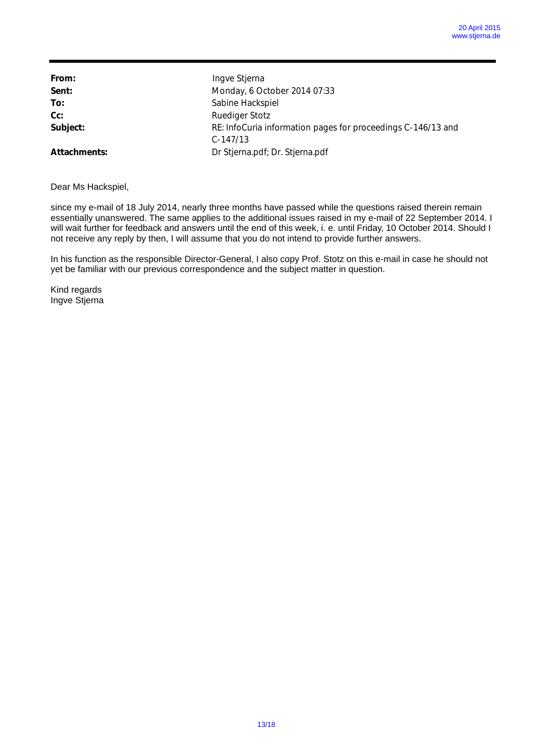| From:        | Ingve Stjerna                                                              |
|--------------|----------------------------------------------------------------------------|
| Sent:        | Monday, 6 October 2014 07:33                                               |
| To:          | Sabine Hackspiel                                                           |
| Cc:          | <b>Ruediger Stotz</b>                                                      |
| Subject:     | RE: InfoCuria information pages for proceedings C-146/13 and<br>$C-147/13$ |
| Attachments: | Dr Stjerna.pdf; Dr. Stjerna.pdf                                            |

since my e-mail of 18 July 2014, nearly three months have passed while the questions raised therein remain essentially unanswered. The same applies to the additional issues raised in my e-mail of 22 September 2014. I will wait further for feedback and answers until the end of this week, i. e. until Friday, 10 October 2014. Should I not receive any reply by then, I will assume that you do not intend to provide further answers.

In his function as the responsible Director-General, I also copy Prof. Stotz on this e-mail in case he should not yet be familiar with our previous correspondence and the subject matter in question.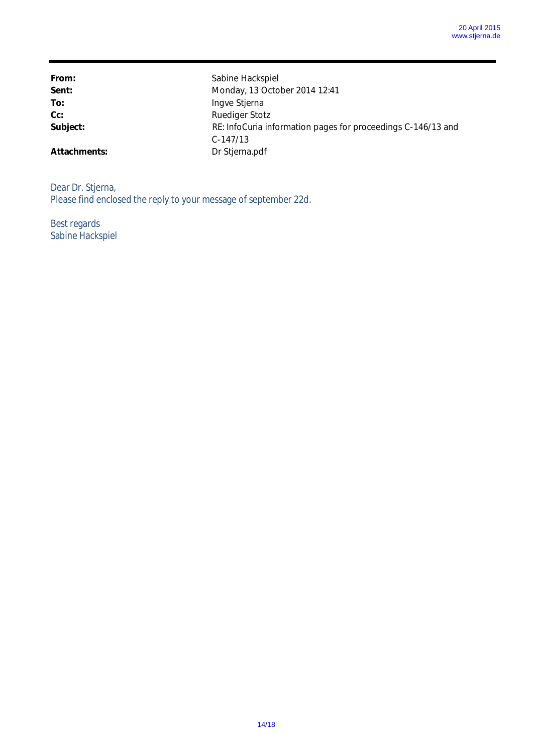From: Sabine Hackspiel Sent: **Monday, 13 October 2014 12:41** To: Ingve Stjerna **Cc:** Ruediger Stotz Subject: **RE:** InfoCuria information pages for proceedings C-146/13 and C-147/13 **Attachments:** Dr Stjerna.pdf

Dear Dr. Stjerna, Please find enclosed the reply to your message of september 22d.

Best regards Sabine Hackspiel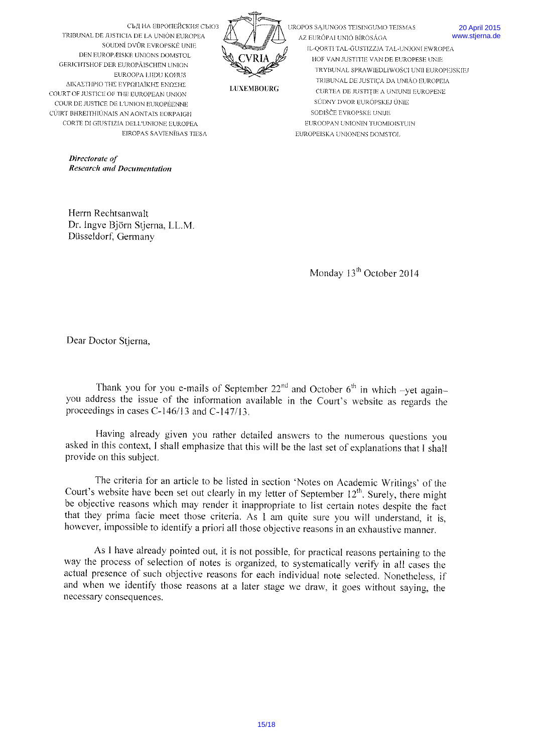

UROPOS SAJUNGOS TEISINGUMO TEISMAS AZ EURÓPAI UNIÓ BÍRÓSÁGA IL-OORTI TAL-GUSTIZZJA TAL-HNIONI EWROPEA HOF VAN JUSTITIE VAN DE EUROPESE UNIE TRYBUNAŁ SPRAWIEDLIWOŚCI UNII EUROPEJSKIEJ TRIBUNAL DE JUSTICA DA UNIÃO EUROPEIA CURTEA DE JUSTITIE A UNIUNII EUROPENE SÚDNY DVOR EURÓPSKEJ ÚNIE

SODIŠČE EVROPSKE UNIJE

EUROPEISKA UNIONENS DOMSTOL

EUROOPAN UNIONIN TUOMIOISTUIN

**20 April 2015** www.stierna.de

TRIBUNAL DE JUSTICIA DE LA UNIÓN EUROPEA SOUDNÍ DVŮR EVROPSKÉ UNIE DEN EUROPÆISKE UNIONS DOMSTOL GERICHTSHOF DER EUROPÄISCHEN UNION EUROOPA LIIDU KOHUS ΔΙΚΑΣΤΗΡΙΟ ΤΗΣ ΕΥΡΩΠΑΪΚΗΣ ΕΝΩΣΗΣ COURT OF JUSTICE OF THE EUROPEAN UNION COUR DE JUSTICE DE L'UNION EUROPÉENNE CÚIRT BHREITHIÚNAIS AN AONTAIS EORPAIGH CORTE DI GIUSTIZIA DELL'UNIONE EUROPEA EIROPAS SAVIENĪBAS TIESA

> Directorate of **Research and Documentation**

Herrn Rechtsanwalt Dr. Ingve Björn Stierna, LL.M. Düsseldorf, Germany

Monday 13<sup>th</sup> October 2014

Dear Doctor Stjerna,

Thank you for you e-mails of September  $22<sup>nd</sup>$  and October 6<sup>th</sup> in which -yet againyou address the issue of the information available in the Court's website as regards the proceedings in cases C-146/13 and C-147/13.

Having already given you rather detailed answers to the numerous questions you asked in this context, I shall emphasize that this will be the last set of explanations that I shall provide on this subject.

The criteria for an article to be listed in section 'Notes on Academic Writings' of the Court's website have been set out clearly in my letter of September 12<sup>th</sup>. Surely, there might be objective reasons which may render it inappropriate to list certain notes despite the fact that they prima facie meet those criteria. As 1 am quite sure you will understand, it is, however, impossible to identify a priori all those objective reasons in an exhaustive manner.

As I have already pointed out, it is not possible, for practical reasons pertaining to the way the process of selection of notes is organized, to systematically verify in all cases the actual presence of such objective reasons for each individual note selected. Nonetheless, if and when we identify those reasons at a later stage we draw, it goes without saying, the necessary consequences.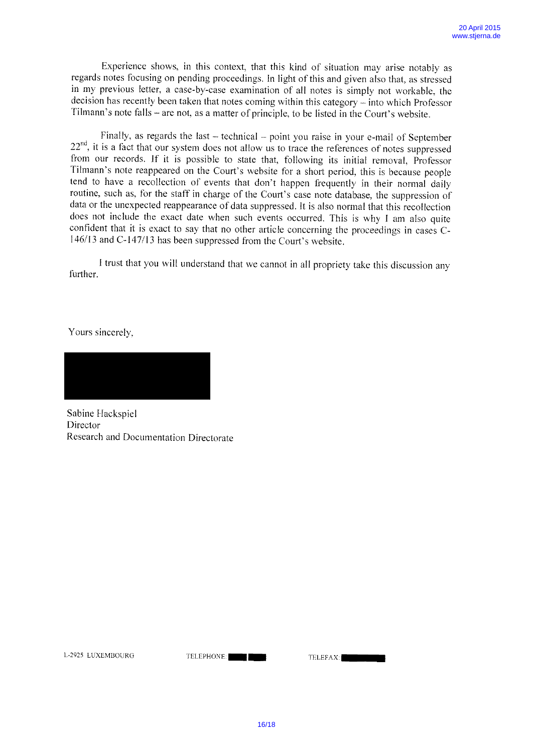Experience shows, in this context, that this kind of situation may arise notably as regards notes focusing on pending proceedings. In light of this and given also that, as stressed in my previous letter, <sup>a</sup> case-by-case examination of all notes is simply not workable, the decision has recently been taken that notes coming within this category — into which Professor Tilmann's note falls — are not, as <sup>a</sup> matter of principle. to be listed in the Court's website.

Finally, as regards the last – technical – point you raise in your e-mail of September  $22<sup>nd</sup>$ , it is a fact that our system does not allow us to trace the references of notes suppressed from our records. If it is possible to state that, following its initial removal, Professor Tilmann's note reappeared on the Court's website for a short period, this is because people tend to have <sup>a</sup> recollection of events that don't happen frequently in their normal daily routine, such as, for the staff in charge of the Court's case note database, the suppression of data or the unexpected reappearance of data suppressed. It is also normal that this recollection does not include the exact date when such events occurred. This is why <sup>I</sup> am also quite confident that it is exact to say that no other article concerning the proceedings in cases C-146/13 and C-147/13 has been suppressed from the Court's website.

<sup>1</sup> trust that you will understand that we cannot in all propriety take this discussion any further.

Yours sincerely.

Sabine Hackspiel Director Research and Documentation Directorate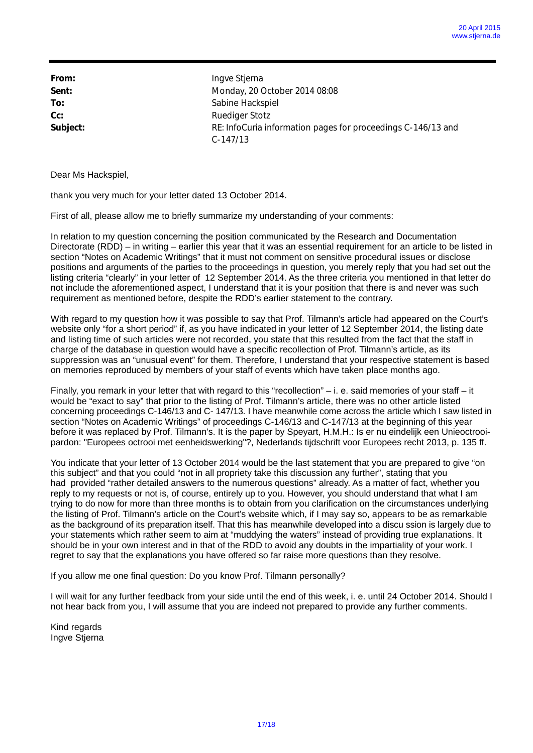| From:    | Ingve Stjerna                                                |
|----------|--------------------------------------------------------------|
| Sent:    | Monday, 20 October 2014 08:08                                |
| To:      | Sabine Hackspiel                                             |
| $Cc$ :   | <b>Ruediger Stotz</b>                                        |
| Subject: | RE: InfoCuria information pages for proceedings C-146/13 and |
|          | $C-147/13$                                                   |

thank you very much for your letter dated 13 October 2014.

First of all, please allow me to briefly summarize my understanding of your comments:

In relation to my question concerning the position communicated by the Research and Documentation Directorate (RDD) – in writing – earlier this year that it was an essential requirement for an article to be listed in section "Notes on Academic Writings" that it must not comment on sensitive procedural issues or disclose positions and arguments of the parties to the proceedings in question, you merely reply that you had set out the listing criteria "clearly" in your letter of 12 September 2014. As the three criteria you mentioned in that letter do not include the aforementioned aspect, I understand that it is your position that there is and never was such requirement as mentioned before, despite the RDD's earlier statement to the contrary.

With regard to my question how it was possible to say that Prof. Tilmann's article had appeared on the Court's website only "for a short period" if, as you have indicated in your letter of 12 September 2014, the listing date and listing time of such articles were not recorded, you state that this resulted from the fact that the staff in charge of the database in question would have a specific recollection of Prof. Tilmann's article, as its suppression was an "unusual event" for them. Therefore, I understand that your respective statement is based on memories reproduced by members of your staff of events which have taken place months ago.

Finally, you remark in your letter that with regard to this "recollection" – i. e. said memories of your staff – it would be "exact to say" that prior to the listing of Prof. Tilmann's article, there was no other article listed concerning proceedings C-146/13 and C- 147/13. I have meanwhile come across the article which I saw listed in section "Notes on Academic Writings" of proceedings C-146/13 and C-147/13 at the beginning of this year before it was replaced by Prof. Tilmann's. It is the paper by Speyart, H.M.H.: Is er nu eindelijk een Unieoctrooipardon: "Europees octrooi met eenheidswerking"?, Nederlands tijdschrift voor Europees recht 2013, p. 135 ff.

You indicate that your letter of 13 October 2014 would be the last statement that you are prepared to give "on this subject" and that you could "not in all propriety take this discussion any further", stating that you had provided "rather detailed answers to the numerous questions" already. As a matter of fact, whether you reply to my requests or not is, of course, entirely up to you. However, you should understand that what I am trying to do now for more than three months is to obtain from you clarification on the circumstances underlying the listing of Prof. Tilmann's article on the Court's website which, if I may say so, appears to be as remarkable as the background of its preparation itself. That this has meanwhile developed into a discu ssion is largely due to your statements which rather seem to aim at "muddying the waters" instead of providing true explanations. It should be in your own interest and in that of the RDD to avoid any doubts in the impartiality of your work. I regret to say that the explanations you have offered so far raise more questions than they resolve.

If you allow me one final question: Do you know Prof. Tilmann personally?

I will wait for any further feedback from your side until the end of this week, i. e. until 24 October 2014. Should I not hear back from you, I will assume that you are indeed not prepared to provide any further comments.